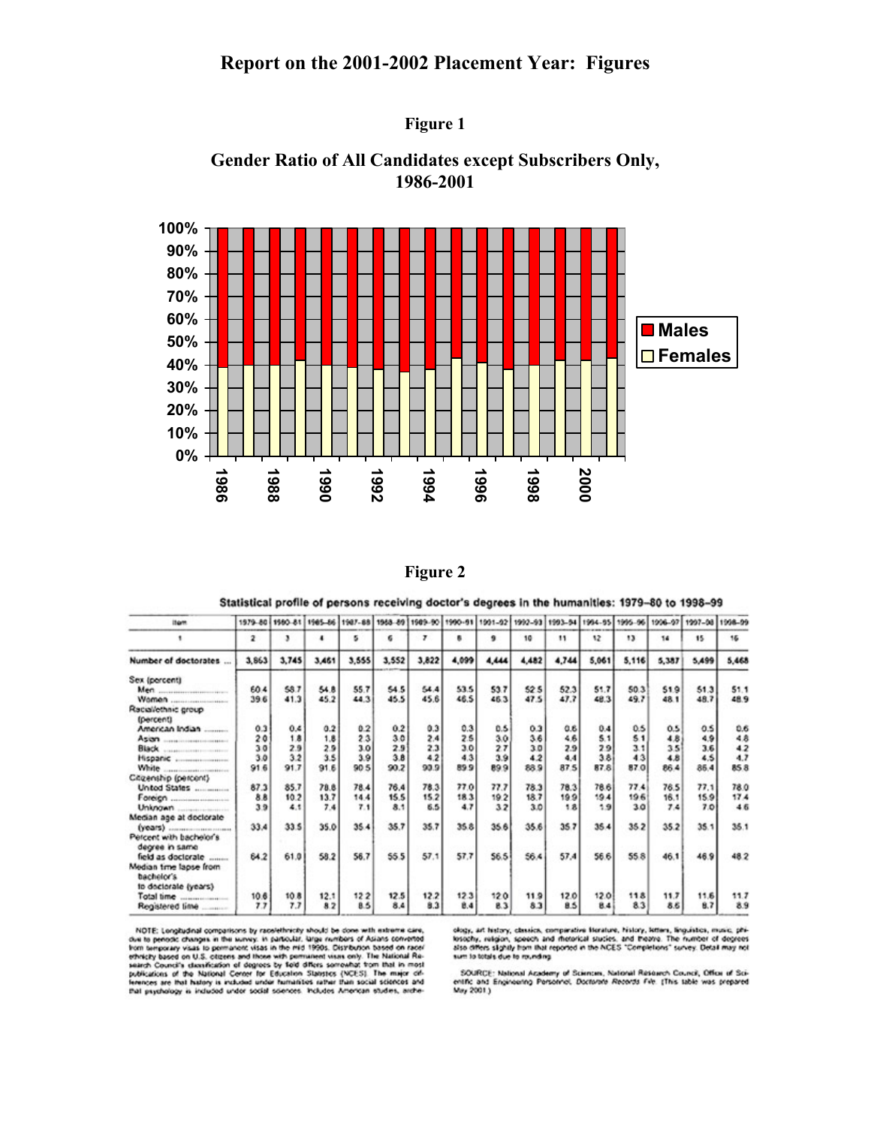## **Report on the 2001-2002 Placement Year: Figures**







**Figure 2** 

Statistical profile of persons receiving doctor's degrees in the humanities: 1979-80 to 1998-99

| <b>Itam</b>                                       | 1979-80 | 1560-81 |       | 1965-86 1987-88 |       | 1968-89 1989-90 | 1990-91 | 1991-92 | 1992-93 | 1993-54       | 1994-95 | 1995-96 | 1996-97 | 1997-08 | 1998-99 |
|---------------------------------------------------|---------|---------|-------|-----------------|-------|-----------------|---------|---------|---------|---------------|---------|---------|---------|---------|---------|
|                                                   | 2       | э       | ٠     | 5               | 6     | $\mathbf{r}$    | ĸ       | 9       | 10      | $\mathbf{11}$ | 12      | 13      | 14      | 15      | 15      |
| Number of doctorates                              | 3,863   | 3,745   | 3,461 | 3,555           | 3,552 | 3,822           | 4,099   | 4,444   | 4,482   | 4,744         | 5,061   | 5,116   | 5,387   | 5,499   | 5,468   |
| Sex (percent)                                     |         |         |       |                 |       |                 |         |         |         |               |         |         |         |         |         |
|                                                   | 60.4    | 58.7    | 54.8  | 55.7            | 54.5  | 54.4            | 53.5    | 53.7    | 525     | 52.3          | 51.7    | 50.3    | 51.9    | 51.3    | 51.1    |
|                                                   | 39.6    | 41.3    | 45.2  | 44.3            | 45.5  | 45.6            | 46.5    | 46.3    | 47.5    | 47.7          | 48.3    | 49.7    | 48.1    | 48.7    | 48.9    |
| Racial/ethnic group                               |         |         |       |                 |       |                 |         |         |         |               |         |         |         |         |         |
| (percent)                                         |         |         |       |                 |       |                 |         |         |         |               |         |         |         |         |         |
| American Indian                                   | 0.3     | 0.4     | 0.2   | 0.2             | 0.2   | 0.3             | 0.3     | 0.5     | 0.3     | 0.6           | 0.4     | 0.5     | 0.5     | 0.5     | 0.6     |
| Asian <i>communication</i>                        | 20      | 1.8     | 1.8   | 23              | 30    | 2.4             | 2.5     | 3.0     | 3.6     | 46            | 5.1     | 5.1     | 4.8     | 4.9     | 48      |
|                                                   | 30      | 2.9     | 2.9   | 3.0             | 2.9   | 2.3             | 3.0     | 27      | 3.0     | 2.9           | 29      | 3.1     | 3.5     | 3.6     | 42      |
|                                                   | 3.0     | 3.2     | 3.5   | 3.9             | 3.8   | 4.2             | 4.3     | 3.9     | 4.2     | 4.4           | 3.8     | 4.3     | 4.8     | 4.5     | 4.7     |
| White<br>CONTRACTOR COMPANY OF THE RESIDENCE.     | 91.6    | 91.7    | 91.6  | 90 <sub>5</sub> | 90.2  | 90.9            | 899     | 89.9    | 889     | 87.5          | 87.8    | 87.0    | 86.4    | 85.4    | 858     |
| Citizenship (percent)                             |         |         |       |                 |       |                 |         |         |         |               |         |         |         |         |         |
| Unted States                                      | 87.3    | 85.7    | 78.8  | 78.4            | 76.4  | 78.3            | 77.0    | 77.7    | 78.3    | 78.3          | 78.6    | 77.4    | 76.5    | 77.1    | 78.0    |
|                                                   | 8.8     | 10.2    | 13.7  | 14.4            | 15.5  | 15.2            | 18.3    | 19.2    | 18.7    | 19.9          | 19.4    | 196     | 16.1    | 15.9    | 17.4    |
|                                                   | 39      | 4.1     | 7.4   | 7.1             | 8.1   | 6.5             | 4.7     | 32      | 3.0     | 18            | 1.9     | 30      | 7.4     | 7.0     | 46      |
| Median age at doctorate                           |         |         |       |                 |       |                 |         |         |         |               |         |         |         |         |         |
|                                                   | 33.4    | 33.5    | 35.0  | 35.4            | 35.7  | 35.7            | 35.8    | 35.6    | 35.6    | 35.7          | 35.4    | 35.2    | 35.2    | 35.1    | 35.1    |
| Percent with bachelor's                           |         |         |       |                 |       |                 |         |         |         |               |         |         |         |         |         |
| degree in same                                    |         |         |       |                 |       |                 |         |         |         |               |         |         |         |         |         |
| field as doctorate                                | 64.2    | 61.0    | 58.2  | 56.7            | 55.5  | 57.1            | 57.7    | 56.5    | 56.4    | 57.4          | 56.6    | 55.8    | 46.1    | 46.9    | 482     |
| Median time lapse from                            |         |         |       |                 |       |                 |         |         |         |               |         |         |         |         |         |
| bachelor's                                        |         |         |       |                 |       |                 |         |         |         |               |         |         |         |         |         |
| to doctorate (years)                              |         |         |       |                 |       |                 |         |         |         |               |         |         |         |         |         |
| Total time                                        | 10.6    | 10.8    | 12.1  | 122             | 12.5  | 12.2            | 12.3    | 120     | 119     | 12.0          | 12.0    | 118     | 11.7    | 11.6    | 11.7    |
| THE REPORT OF A REAL PROPERTY.<br>Registered lime | 77      | 7.7     | 8.2   | 8.5             | 8.4   | 8.3             | 8.4     | 8.3     | 83      | 8.5           | 84      | 83      | 8.6     | 8.7     | 89      |

NOTE: Longitudinal compatisons by racelethnicity should be done with estierns care, due to periodic changes in the survey. In particular, large numbers of Asians convented from temporary visas to permanent visas in the mi

ology, art history, classics, comparative Berature, history, letters, linguistics, music, phi-losophy, religion, speech and rhotorical studies. and theories. The number of degrees<br>also differs slightly from that reported i sum to totals due to rounding

SOURCE: National Academy of Sciences, National Research Council, Office of Scientific and Engineering Personnel, Doctorate Receives File: (This table was prepared May 2001.)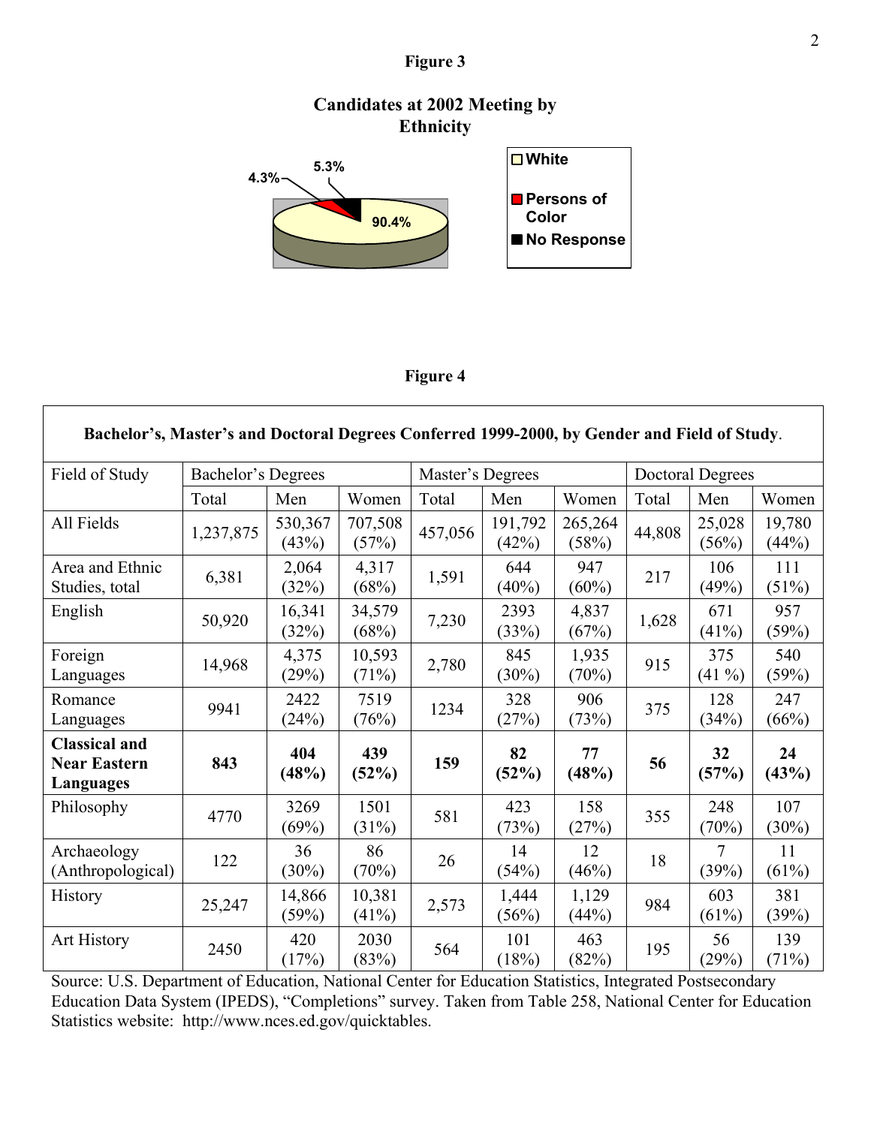## **Figure 3**

## **Candidates at 2002 Meeting by Ethnicity**



## **Figure 4**

| Bachelor's, Master's and Doctoral Degrees Conferred 1999-2000, by Gender and Field of Study. |                    |                  |                  |                  |                  |                  |                  |                 |                 |  |  |  |
|----------------------------------------------------------------------------------------------|--------------------|------------------|------------------|------------------|------------------|------------------|------------------|-----------------|-----------------|--|--|--|
| Field of Study                                                                               | Bachelor's Degrees |                  |                  | Master's Degrees |                  |                  | Doctoral Degrees |                 |                 |  |  |  |
|                                                                                              | Total              | Men              | Women            | Total            | Men              | Women            | Total            | Men             | Women           |  |  |  |
| All Fields                                                                                   | 1,237,875          | 530,367<br>(43%) | 707,508<br>(57%) | 457,056          | 191,792<br>(42%) | 265,264<br>(58%) | 44,808           | 25,028<br>(56%) | 19,780<br>(44%) |  |  |  |
| Area and Ethnic<br>Studies, total                                                            | 6,381              | 2,064<br>(32%)   | 4,317<br>(68%)   | 1,591            | 644<br>(40%)     | 947<br>(60%)     | 217              | 106<br>(49%)    | 111<br>(51%)    |  |  |  |
| English                                                                                      | 50,920             | 16,341<br>(32%)  | 34,579<br>(68%)  | 7,230            | 2393<br>(33%)    | 4,837<br>(67%)   | 1,628            | 671<br>(41%)    | 957<br>(59%)    |  |  |  |
| Foreign<br>Languages                                                                         | 14,968             | 4,375<br>(29%)   | 10,593<br>(71%)  | 2,780            | 845<br>(30%)     | 1,935<br>(70%)   | 915              | 375<br>$(41\%)$ | 540<br>(59%)    |  |  |  |
| Romance<br>Languages                                                                         | 9941               | 2422<br>(24%)    | 7519<br>(76%)    | 1234             | 328<br>(27%)     | 906<br>(73%)     | 375              | 128<br>(34%)    | 247<br>(66%)    |  |  |  |
| <b>Classical and</b><br><b>Near Eastern</b><br>Languages                                     | 843                | 404<br>(48%)     | 439<br>(52%)     | 159              | 82<br>(52%)      | 77<br>(48%)      | 56               | 32<br>(57%)     | 24<br>(43%)     |  |  |  |
| Philosophy                                                                                   | 4770               | 3269<br>(69%)    | 1501<br>(31%)    | 581              | 423<br>(73%)     | 158<br>(27%)     | 355              | 248<br>(70%)    | 107<br>(30%)    |  |  |  |
| Archaeology<br>(Anthropological)                                                             | 122                | 36<br>(30%)      | 86<br>(70%)      | 26               | 14<br>(54%)      | 12<br>(46%)      | 18               | 7<br>(39%)      | 11<br>(61%)     |  |  |  |
| History                                                                                      | 25,247             | 14,866<br>(59%)  | 10,381<br>(41%)  | 2,573            | 1,444<br>(56%)   | 1,129<br>(44%)   | 984              | 603<br>(61%)    | 381<br>(39%)    |  |  |  |
| Art History                                                                                  | 2450               | 420<br>(17%)     | 2030<br>(83%)    | 564              | 101<br>(18%)     | 463<br>(82%)     | 195              | 56<br>(29%)     | 139<br>(71%)    |  |  |  |

Source: U.S. Department of Education, National Center for Education Statistics, Integrated Postsecondary Education Data System (IPEDS), "Completions" survey. Taken from Table 258, National Center for Education Statistics website: http://www.nces.ed.gov/quicktables.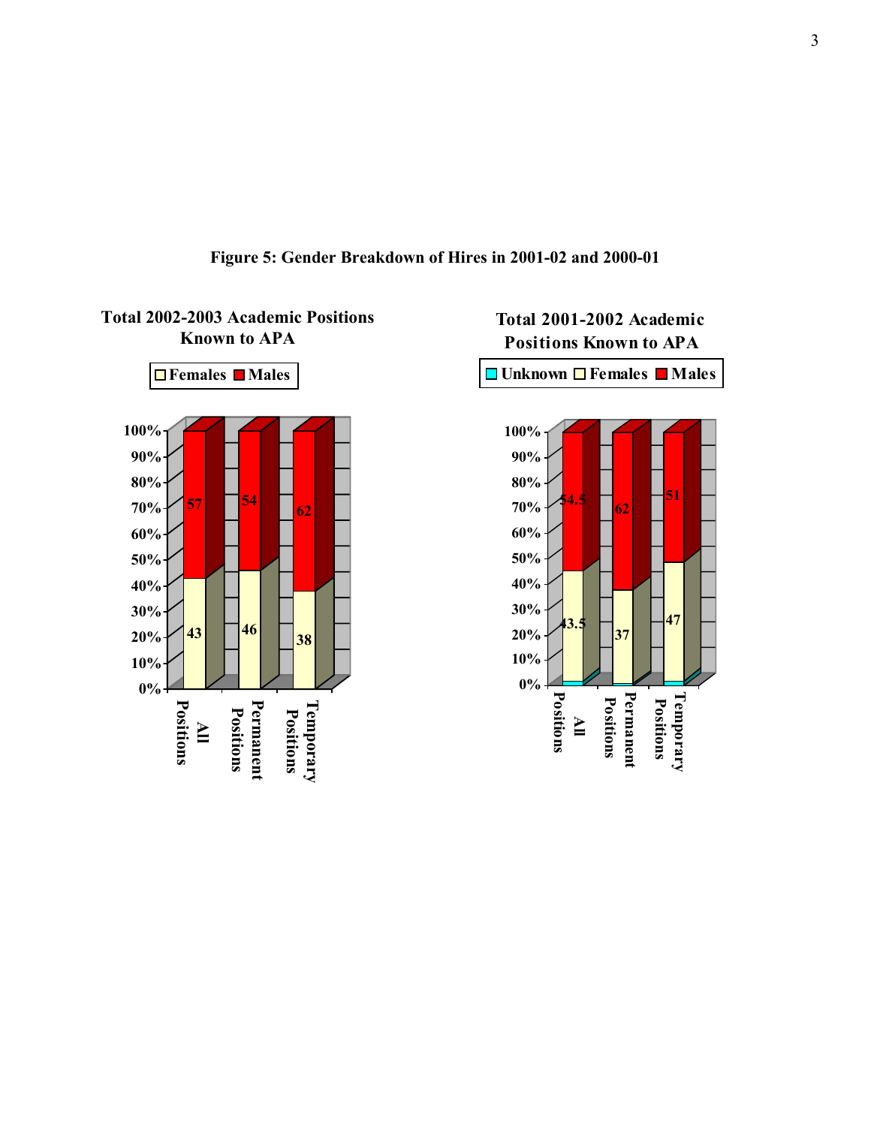

**Figure 5: Gender Breakdown of Hires in 2001-02 and 2000-01**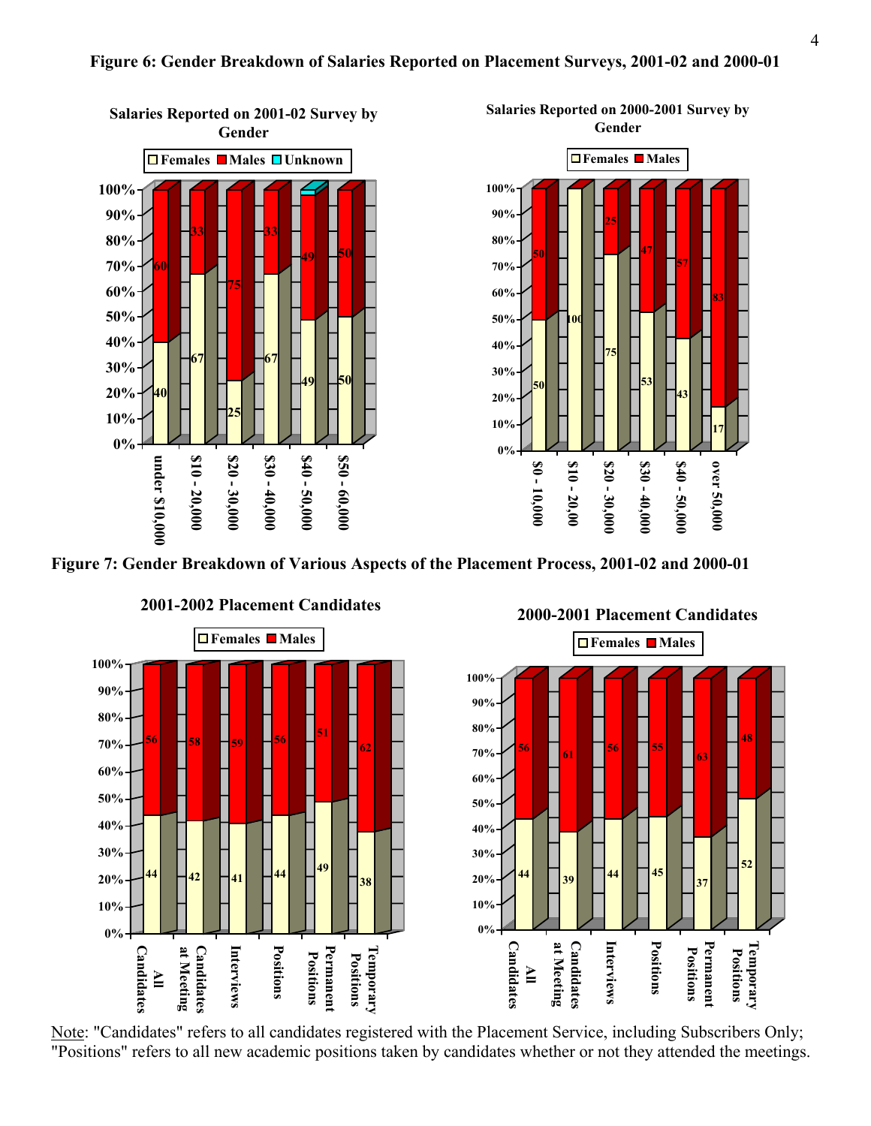#### **Figure 6: Gender Breakdown of Salaries Reported on Placement Surveys, 2001-02 and 2000-01**



**Figure 7: Gender Breakdown of Various Aspects of the Placement Process, 2001-02 and 2000-01** 



**2001-2002 Placement Candidates**

Note: "Candidates" refers to all candidates registered with the Placement Service, including Subscribers Only; "Positions" refers to all new academic positions taken by candidates whether or not they attended the meetings.

**2000-2001 Placement Candidates**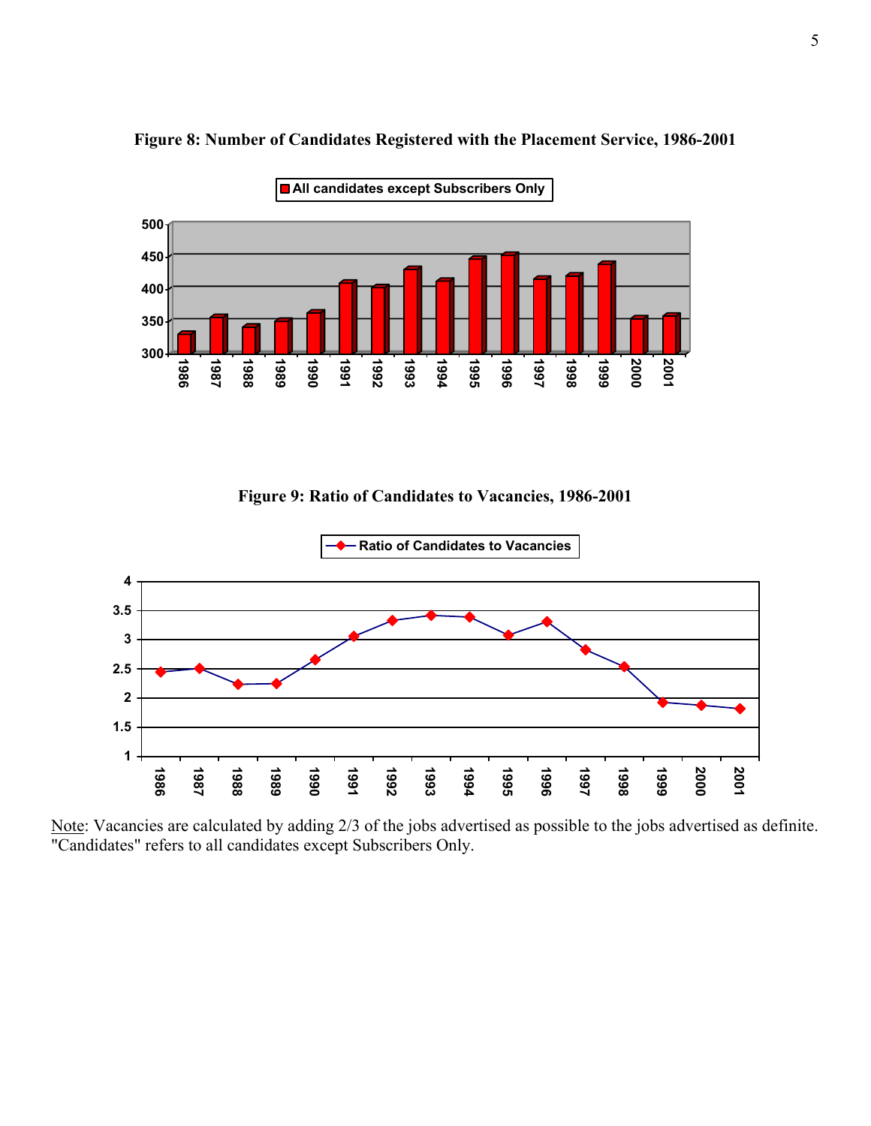

#### **Figure 8: Number of Candidates Registered with the Placement Service, 1986-2001**

**Figure 9: Ratio of Candidates to Vacancies, 1986-2001** 



Note: Vacancies are calculated by adding 2/3 of the jobs advertised as possible to the jobs advertised as definite. "Candidates" refers to all candidates except Subscribers Only.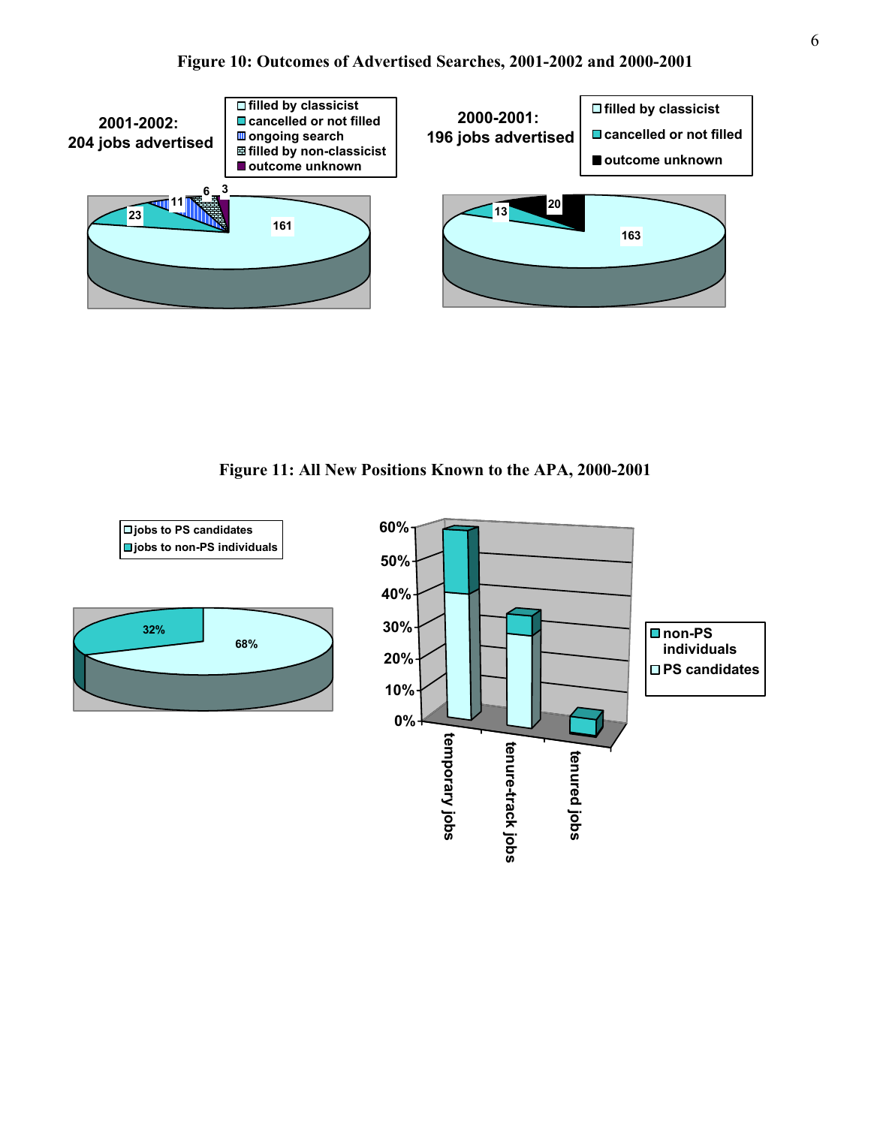